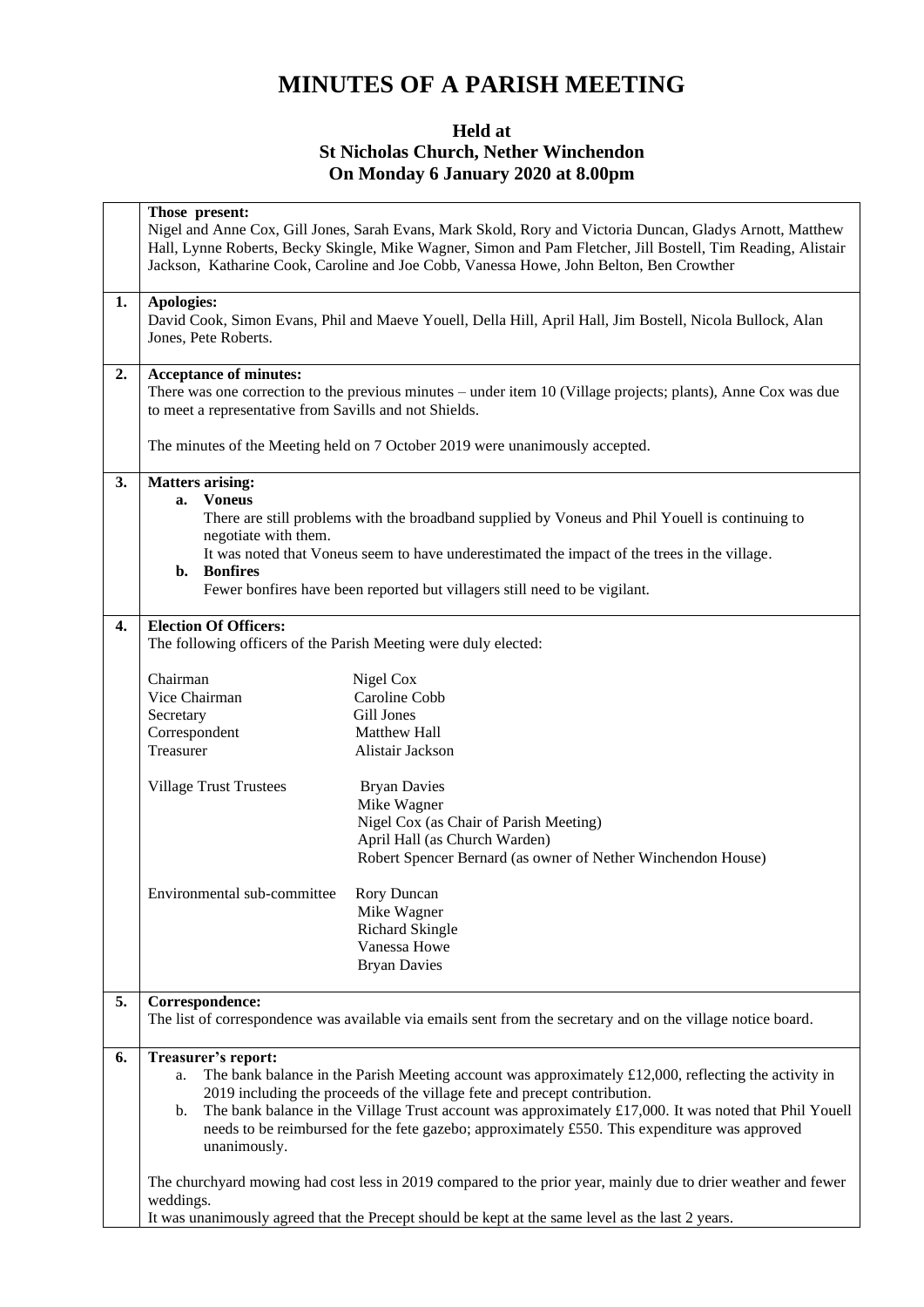## **MINUTES OF A PARISH MEETING**

## **Held at St Nicholas Church, Nether Winchendon On Monday 6 January 2020 at 8.00pm**

|              | Those present:                                                                                                                                                                                                |                                                                                                               |  |  |
|--------------|---------------------------------------------------------------------------------------------------------------------------------------------------------------------------------------------------------------|---------------------------------------------------------------------------------------------------------------|--|--|
|              | Nigel and Anne Cox, Gill Jones, Sarah Evans, Mark Skold, Rory and Victoria Duncan, Gladys Arnott, Matthew                                                                                                     |                                                                                                               |  |  |
|              | Hall, Lynne Roberts, Becky Skingle, Mike Wagner, Simon and Pam Fletcher, Jill Bostell, Tim Reading, Alistair                                                                                                  |                                                                                                               |  |  |
|              |                                                                                                                                                                                                               | Jackson, Katharine Cook, Caroline and Joe Cobb, Vanessa Howe, John Belton, Ben Crowther                       |  |  |
|              |                                                                                                                                                                                                               |                                                                                                               |  |  |
| 1.           | Apologies:                                                                                                                                                                                                    |                                                                                                               |  |  |
|              |                                                                                                                                                                                                               | David Cook, Simon Evans, Phil and Maeve Youell, Della Hill, April Hall, Jim Bostell, Nicola Bullock, Alan     |  |  |
|              | Jones, Pete Roberts.                                                                                                                                                                                          |                                                                                                               |  |  |
|              |                                                                                                                                                                                                               |                                                                                                               |  |  |
| 2.           | <b>Acceptance of minutes:</b>                                                                                                                                                                                 |                                                                                                               |  |  |
|              |                                                                                                                                                                                                               | There was one correction to the previous minutes – under item 10 (Village projects; plants), Anne Cox was due |  |  |
|              | to meet a representative from Savills and not Shields.                                                                                                                                                        |                                                                                                               |  |  |
|              |                                                                                                                                                                                                               |                                                                                                               |  |  |
|              | The minutes of the Meeting held on 7 October 2019 were unanimously accepted.                                                                                                                                  |                                                                                                               |  |  |
| 3.           | <b>Matters arising:</b>                                                                                                                                                                                       |                                                                                                               |  |  |
|              | <b>Voneus</b><br>a.                                                                                                                                                                                           |                                                                                                               |  |  |
|              |                                                                                                                                                                                                               | There are still problems with the broadband supplied by Voneus and Phil Youell is continuing to               |  |  |
|              | negotiate with them.                                                                                                                                                                                          |                                                                                                               |  |  |
|              |                                                                                                                                                                                                               | It was noted that Voneus seem to have underestimated the impact of the trees in the village.                  |  |  |
|              | <b>Bonfires</b><br>$\mathbf{b}$ .                                                                                                                                                                             |                                                                                                               |  |  |
|              |                                                                                                                                                                                                               | Fewer bonfires have been reported but villagers still need to be vigilant.                                    |  |  |
|              |                                                                                                                                                                                                               |                                                                                                               |  |  |
| $\mathbf{4}$ | <b>Election Of Officers:</b>                                                                                                                                                                                  |                                                                                                               |  |  |
|              | The following officers of the Parish Meeting were duly elected:                                                                                                                                               |                                                                                                               |  |  |
|              |                                                                                                                                                                                                               |                                                                                                               |  |  |
|              | Chairman                                                                                                                                                                                                      | Nigel Cox                                                                                                     |  |  |
|              | Vice Chairman                                                                                                                                                                                                 | Caroline Cobb                                                                                                 |  |  |
|              | Secretary                                                                                                                                                                                                     | Gill Jones                                                                                                    |  |  |
|              | Correspondent                                                                                                                                                                                                 | Matthew Hall                                                                                                  |  |  |
|              | Treasurer                                                                                                                                                                                                     | Alistair Jackson                                                                                              |  |  |
|              |                                                                                                                                                                                                               |                                                                                                               |  |  |
|              | <b>Village Trust Trustees</b>                                                                                                                                                                                 | <b>Bryan Davies</b>                                                                                           |  |  |
|              |                                                                                                                                                                                                               | Mike Wagner                                                                                                   |  |  |
|              |                                                                                                                                                                                                               | Nigel Cox (as Chair of Parish Meeting)                                                                        |  |  |
|              |                                                                                                                                                                                                               | April Hall (as Church Warden)                                                                                 |  |  |
|              |                                                                                                                                                                                                               | Robert Spencer Bernard (as owner of Nether Winchendon House)                                                  |  |  |
|              |                                                                                                                                                                                                               |                                                                                                               |  |  |
|              | Environmental sub-committee                                                                                                                                                                                   | Rory Duncan                                                                                                   |  |  |
|              |                                                                                                                                                                                                               | Mike Wagner                                                                                                   |  |  |
|              |                                                                                                                                                                                                               | <b>Richard Skingle</b>                                                                                        |  |  |
|              |                                                                                                                                                                                                               | Vanessa Howe                                                                                                  |  |  |
|              |                                                                                                                                                                                                               | <b>Bryan Davies</b>                                                                                           |  |  |
| 5.           | Correspondence:                                                                                                                                                                                               |                                                                                                               |  |  |
|              |                                                                                                                                                                                                               | The list of correspondence was available via emails sent from the secretary and on the village notice board.  |  |  |
|              |                                                                                                                                                                                                               |                                                                                                               |  |  |
| 6.           | Treasurer's report:                                                                                                                                                                                           |                                                                                                               |  |  |
|              | a.                                                                                                                                                                                                            | The bank balance in the Parish Meeting account was approximately $£12,000$ , reflecting the activity in       |  |  |
|              |                                                                                                                                                                                                               | 2019 including the proceeds of the village fete and precept contribution.                                     |  |  |
|              |                                                                                                                                                                                                               |                                                                                                               |  |  |
|              | The bank balance in the Village Trust account was approximately £17,000. It was noted that Phil Youell<br>b.<br>needs to be reimbursed for the fete gazebo; approximately £550. This expenditure was approved |                                                                                                               |  |  |
|              | unanimously.                                                                                                                                                                                                  |                                                                                                               |  |  |
|              |                                                                                                                                                                                                               |                                                                                                               |  |  |
|              | The churchyard mowing had cost less in 2019 compared to the prior year, mainly due to drier weather and fewer                                                                                                 |                                                                                                               |  |  |
|              | weddings.                                                                                                                                                                                                     |                                                                                                               |  |  |
|              | It was unanimously agreed that the Precept should be kept at the same level as the last 2 years.                                                                                                              |                                                                                                               |  |  |
|              |                                                                                                                                                                                                               |                                                                                                               |  |  |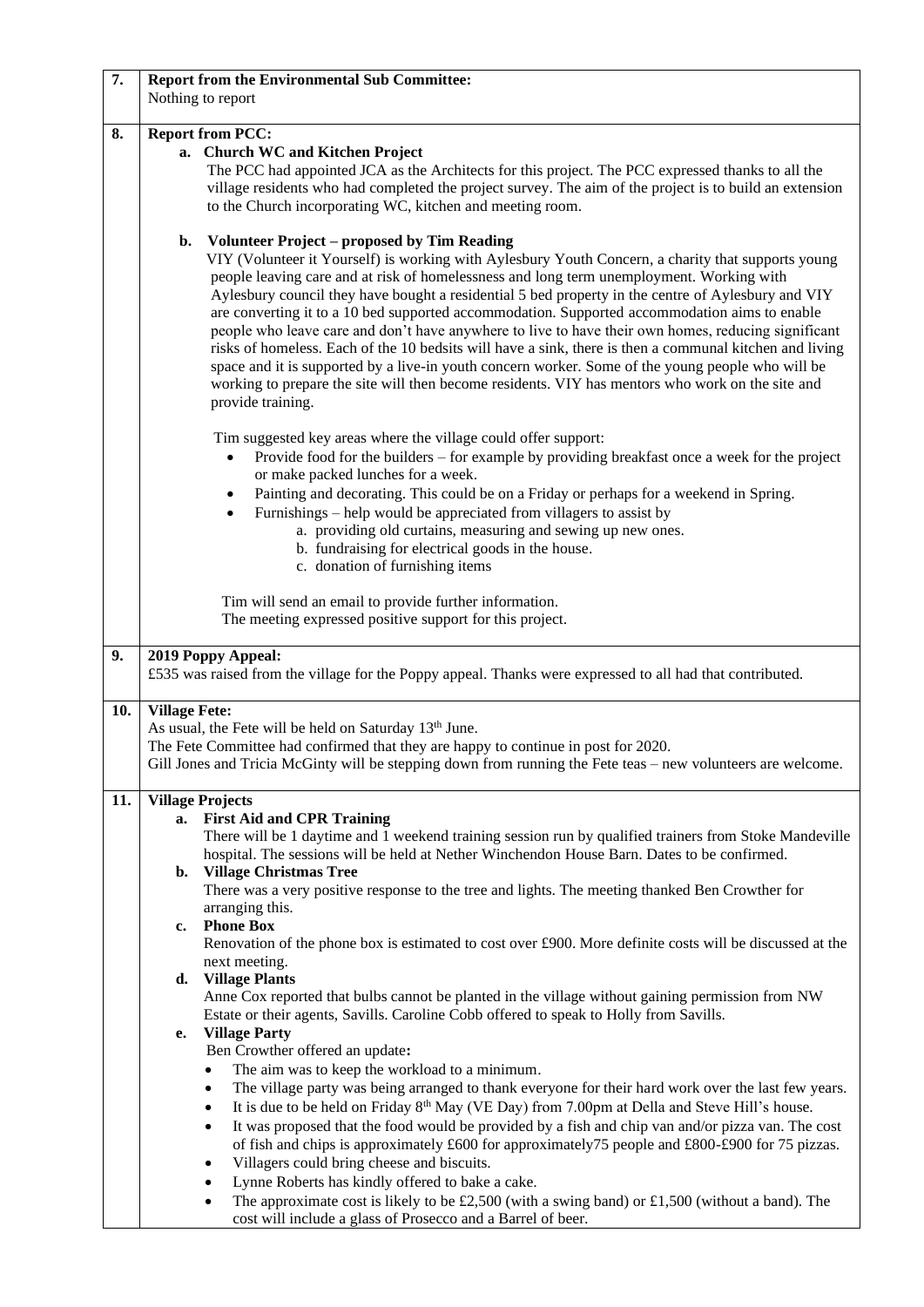| 7.  | <b>Report from the Environmental Sub Committee:</b><br>Nothing to report                                                                                                                              |  |  |
|-----|-------------------------------------------------------------------------------------------------------------------------------------------------------------------------------------------------------|--|--|
| 8.  | <b>Report from PCC:</b>                                                                                                                                                                               |  |  |
|     | a. Church WC and Kitchen Project                                                                                                                                                                      |  |  |
|     | The PCC had appointed JCA as the Architects for this project. The PCC expressed thanks to all the                                                                                                     |  |  |
|     | village residents who had completed the project survey. The aim of the project is to build an extension                                                                                               |  |  |
|     | to the Church incorporating WC, kitchen and meeting room.                                                                                                                                             |  |  |
|     |                                                                                                                                                                                                       |  |  |
|     | <b>Volunteer Project – proposed by Tim Reading</b><br>b.                                                                                                                                              |  |  |
|     | VIY (Volunteer it Yourself) is working with Aylesbury Youth Concern, a charity that supports young                                                                                                    |  |  |
|     | people leaving care and at risk of homelessness and long term unemployment. Working with                                                                                                              |  |  |
|     | Aylesbury council they have bought a residential 5 bed property in the centre of Aylesbury and VIY                                                                                                    |  |  |
|     | are converting it to a 10 bed supported accommodation. Supported accommodation aims to enable                                                                                                         |  |  |
|     | people who leave care and don't have anywhere to live to have their own homes, reducing significant                                                                                                   |  |  |
|     | risks of homeless. Each of the 10 bedsits will have a sink, there is then a communal kitchen and living                                                                                               |  |  |
|     | space and it is supported by a live-in youth concern worker. Some of the young people who will be<br>working to prepare the site will then become residents. VIY has mentors who work on the site and |  |  |
|     | provide training.                                                                                                                                                                                     |  |  |
|     |                                                                                                                                                                                                       |  |  |
|     | Tim suggested key areas where the village could offer support:                                                                                                                                        |  |  |
|     | Provide food for the builders – for example by providing breakfast once a week for the project<br>$\bullet$<br>or make packed lunches for a week.                                                     |  |  |
|     | Painting and decorating. This could be on a Friday or perhaps for a weekend in Spring.<br>٠                                                                                                           |  |  |
|     | Furnishings – help would be appreciated from villagers to assist by<br>$\bullet$                                                                                                                      |  |  |
|     | a. providing old curtains, measuring and sewing up new ones.                                                                                                                                          |  |  |
|     | b. fundraising for electrical goods in the house.                                                                                                                                                     |  |  |
|     | c. donation of furnishing items                                                                                                                                                                       |  |  |
|     |                                                                                                                                                                                                       |  |  |
|     | Tim will send an email to provide further information.                                                                                                                                                |  |  |
|     | The meeting expressed positive support for this project.                                                                                                                                              |  |  |
| 9.  | 2019 Poppy Appeal:                                                                                                                                                                                    |  |  |
|     | £535 was raised from the village for the Poppy appeal. Thanks were expressed to all had that contributed.                                                                                             |  |  |
|     |                                                                                                                                                                                                       |  |  |
| 10. | <b>Village Fete:</b>                                                                                                                                                                                  |  |  |
|     | As usual, the Fete will be held on Saturday 13 <sup>th</sup> June.                                                                                                                                    |  |  |
|     | The Fete Committee had confirmed that they are happy to continue in post for 2020.<br>Gill Jones and Tricia McGinty will be stepping down from running the Fete teas – new volunteers are welcome.    |  |  |
|     |                                                                                                                                                                                                       |  |  |
| 11. | <b>Village Projects</b>                                                                                                                                                                               |  |  |
|     | <b>First Aid and CPR Training</b><br>a.<br>There will be 1 daytime and 1 weekend training session run by qualified trainers from Stoke Mandeville                                                     |  |  |
|     | hospital. The sessions will be held at Nether Winchendon House Barn. Dates to be confirmed.                                                                                                           |  |  |
|     | b. Village Christmas Tree                                                                                                                                                                             |  |  |
|     | There was a very positive response to the tree and lights. The meeting thanked Ben Crowther for                                                                                                       |  |  |
|     | arranging this.                                                                                                                                                                                       |  |  |
|     | <b>Phone Box</b><br>$c_{\bullet}$                                                                                                                                                                     |  |  |
|     | Renovation of the phone box is estimated to cost over £900. More definite costs will be discussed at the                                                                                              |  |  |
|     | next meeting.                                                                                                                                                                                         |  |  |
|     | d. Village Plants<br>Anne Cox reported that bulbs cannot be planted in the village without gaining permission from NW                                                                                 |  |  |
|     | Estate or their agents, Savills. Caroline Cobb offered to speak to Holly from Savills.                                                                                                                |  |  |
|     | <b>Village Party</b><br>e.                                                                                                                                                                            |  |  |
|     | Ben Crowther offered an update:                                                                                                                                                                       |  |  |
|     | The aim was to keep the workload to a minimum.<br>$\bullet$                                                                                                                                           |  |  |
|     | The village party was being arranged to thank everyone for their hard work over the last few years.<br>$\bullet$                                                                                      |  |  |
|     | It is due to be held on Friday 8 <sup>th</sup> May (VE Day) from 7.00pm at Della and Steve Hill's house.<br>$\bullet$                                                                                 |  |  |
|     | It was proposed that the food would be provided by a fish and chip van and/or pizza van. The cost<br>$\bullet$                                                                                        |  |  |
|     | of fish and chips is approximately £600 for approximately 75 people and £800-£900 for 75 pizzas.                                                                                                      |  |  |
|     | Villagers could bring cheese and biscuits.<br>$\bullet$                                                                                                                                               |  |  |
|     |                                                                                                                                                                                                       |  |  |
|     | Lynne Roberts has kindly offered to bake a cake.<br>$\bullet$                                                                                                                                         |  |  |
|     | The approximate cost is likely to be £2,500 (with a swing band) or £1,500 (without a band). The<br>٠<br>cost will include a glass of Prosecco and a Barrel of beer.                                   |  |  |